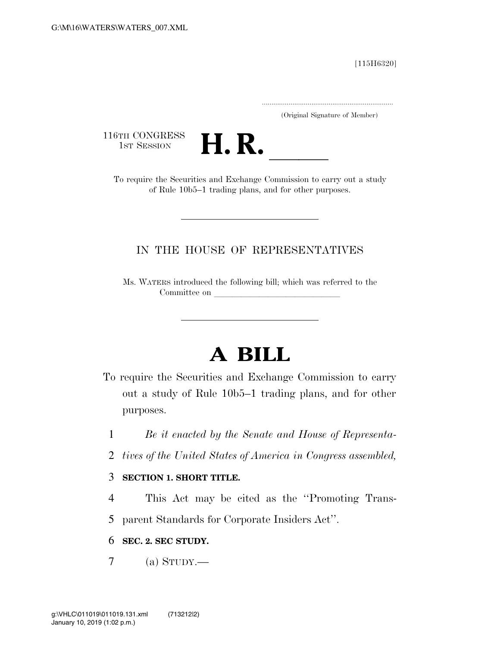[115H6320]

.....................................................................

(Original Signature of Member)

116TH CONGRESS<br>1st Session



1ST SESSION **H. R.** ll To require the Securities and Exchange Commission to carry out a study of Rule 10b5–1 trading plans, and for other purposes.

## IN THE HOUSE OF REPRESENTATIVES

Ms. WATERS introduced the following bill; which was referred to the Committee on

## **A BILL**

- To require the Securities and Exchange Commission to carry out a study of Rule 10b5–1 trading plans, and for other purposes.
	- 1 *Be it enacted by the Senate and House of Representa-*
	- 2 *tives of the United States of America in Congress assembled,*

## 3 **SECTION 1. SHORT TITLE.**

4 This Act may be cited as the ''Promoting Trans-5 parent Standards for Corporate Insiders Act''.

## 6 **SEC. 2. SEC STUDY.**

 $7 \quad$  (a) STUDY.—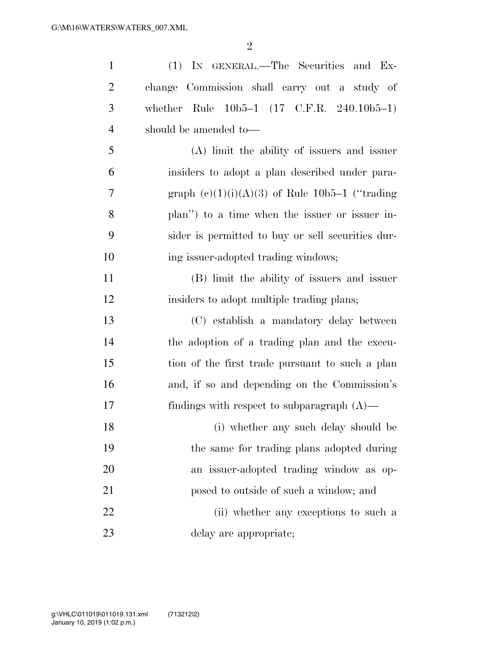| $\mathbf{1}$   | (1) IN GENERAL.—The Securities and Ex-             |
|----------------|----------------------------------------------------|
| $\overline{2}$ | change Commission shall carry out a study of       |
| $\mathfrak{Z}$ | whether Rule $10b5-1$ (17 C.F.R. 240.10b5-1)       |
| $\overline{4}$ | should be amended to-                              |
| 5              | (A) limit the ability of issuers and issuer        |
| 6              | insiders to adopt a plan described under para-     |
| 7              | graph $(e)(1)(i)(A)(3)$ of Rule 10b5-1 ("trading") |
| 8              | plan") to a time when the issuer or issuer in-     |
| 9              | sider is permitted to buy or sell securities dur-  |
| 10             | ing issuer-adopted trading windows;                |
| 11             | (B) limit the ability of issuers and issuer        |
| 12             | insiders to adopt multiple trading plans;          |
| 13             | (C) establish a mandatory delay between            |
| 14             | the adoption of a trading plan and the execu-      |
| 15             | tion of the first trade pursuant to such a plan    |
| 16             | and, if so and depending on the Commission's       |
| 17             | findings with respect to subparagraph $(A)$ —      |
| 18             | (i) whether any such delay should be               |
| 19             | the same for trading plans adopted during          |
| 20             | an issuer-adopted trading window as op-            |
| 21             | posed to outside of such a window; and             |
| 22             | (ii) whether any exceptions to such a              |
| 23             | delay are appropriate;                             |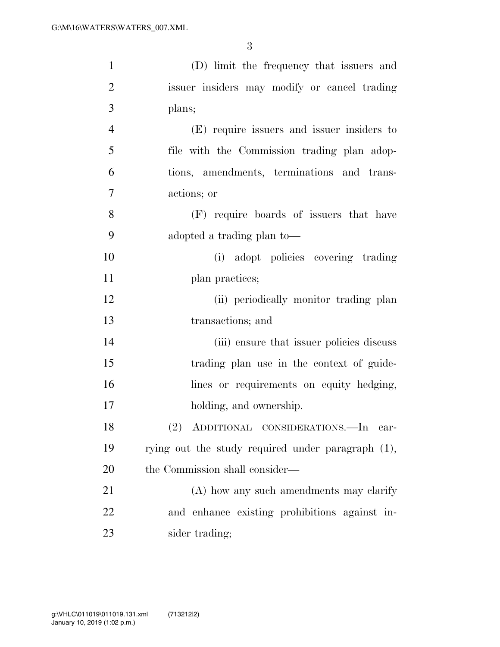| $\mathbf{1}$   | (D) limit the frequency that issuers and          |
|----------------|---------------------------------------------------|
| $\overline{2}$ | issuer insiders may modify or cancel trading      |
| 3              | plans;                                            |
| $\overline{4}$ | (E) require issuers and issuer insiders to        |
| 5              | file with the Commission trading plan adop-       |
| 6              | tions, amendments, terminations and trans-        |
| 7              | actions; or                                       |
| 8              | (F) require boards of issuers that have           |
| 9              | adopted a trading plan to-                        |
| 10             | adopt policies covering trading<br>(i)            |
| 11             | plan practices;                                   |
| 12             | (ii) periodically monitor trading plan            |
| 13             | transactions; and                                 |
| 14             | (iii) ensure that issuer policies discuss         |
| 15             | trading plan use in the context of guide-         |
| 16             | lines or requirements on equity hedging,          |
| 17             | holding, and ownership.                           |
| 18             | (2) ADDITIONAL CONSIDERATIONS.—In car-            |
| 19             | rying out the study required under paragraph (1), |
| 20             | the Commission shall consider—                    |
| 21             | (A) how any such amendments may clarify           |
| 22             | and enhance existing prohibitions against in-     |
| 23             | sider trading;                                    |